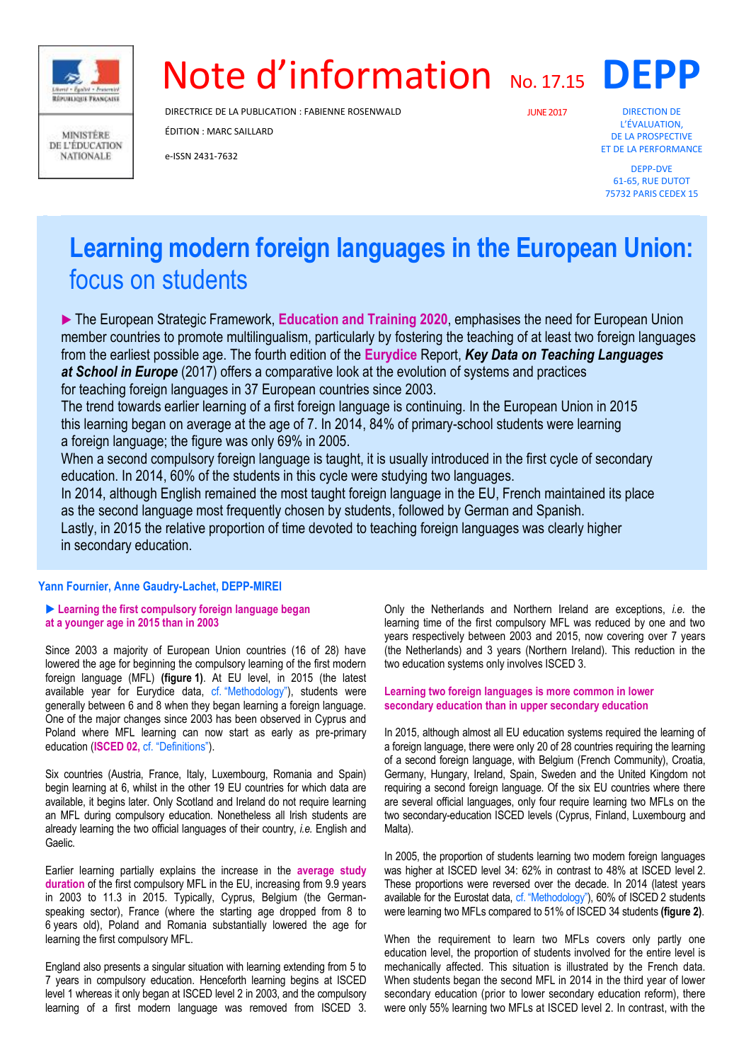

**MINISTÈRE** DE L'ÉDUCATION **NATIONALE** 

# Note d'information No. 17.15 DEPP

DIRECTRICE DE LA PUBLICATION : FABIENNE ROSENWALD

ÉDITION : MARC SAILLARD

e-ISSN 2431-7632

JUNE2017

DIRECTION DE L'ÉVALUATION, DE LA PROSPECTIVE ET DE LA PERFORMANCE

DEPP-DVE 61-65, RUE DUTOT 75732 PARIS CEDEX 15

# **Learning modern foreign languages in the European Union:** focus on students

 The European Strategic Framework, **Education and Training 2020**, emphasises the need for European Union member countries to promote multilingualism, particularly by fostering the teaching of at least two foreign languages from the earliest possible age. The fourth edition of the **Eurydice** Report, *Key Data on Teaching Languages at School in Europe* (2017) offers a comparative look at the evolution of systems and practices for teaching foreign languages in 37 European countries since 2003.

The trend towards earlier learning of a first foreign language is continuing. In the European Union in 2015 this learning began on average at the age of 7. In 2014, 84% of primary-school students were learning a foreign language; the figure was only 69% in 2005.

When a second compulsory foreign language is taught, it is usually introduced in the first cycle of secondary education. In 2014, 60% of the students in this cycle were studying two languages.

In 2014, although English remained the most taught foreign language in the EU, French maintained its place as the second language most frequently chosen by students, followed by German and Spanish. Lastly, in 2015 the relative proportion of time devoted to teaching foreign languages was clearly higher in secondary education.

# **Yann Fournier, Anne Gaudry-Lachet, DEPP-MIREI**

### **Learning the first compulsory foreign language began at a younger age in 2015 than in 2003**

Since 2003 a majority of European Union countries (16 of 28) have lowered the age for beginning the compulsory learning of the first modern foreign language (MFL) **(figure 1)**. At EU level, in 2015 (the latest available year for Eurydice data, cf. "Methodology"), students were generally between 6 and 8 when they began learning a foreign language. One of the major changes since 2003 has been observed in Cyprus and Poland where MFL learning can now start as early as pre-primary education (**ISCED 02,** cf. "Definitions").

Six countries (Austria, France, Italy, Luxembourg, Romania and Spain) begin learning at 6, whilst in the other 19 EU countries for which data are available, it begins later. Only Scotland and Ireland do not require learning an MFL during compulsory education. Nonetheless all Irish students are already learning the two official languages of their country, *i.e.* English and Gaelic.

Earlier learning partially explains the increase in the **average study duration** of the first compulsory MFL in the EU, increasing from 9.9 years in 2003 to 11.3 in 2015. Typically, Cyprus, Belgium (the Germanspeaking sector), France (where the starting age dropped from 8 to 6 years old), Poland and Romania substantially lowered the age for learning the first compulsory MFL.

England also presents a singular situation with learning extending from 5 to 7 years in compulsory education. Henceforth learning begins at ISCED level 1 whereas it only began at ISCED level 2 in 2003, and the compulsory learning of a first modern language was removed from ISCED 3.

Only the Netherlands and Northern Ireland are exceptions, *i.e.* the learning time of the first compulsory MFL was reduced by one and two years respectively between 2003 and 2015, now covering over 7 years (the Netherlands) and 3 years (Northern Ireland). This reduction in the two education systems only involves ISCED 3.

# **Learning two foreign languages is more common in lower secondary education than in upper secondary education**

In 2015, although almost all EU education systems required the learning of a foreign language, there were only 20 of 28 countries requiring the learning of a second foreign language, with Belgium (French Community), Croatia, Germany, Hungary, Ireland, Spain, Sweden and the United Kingdom not requiring a second foreign language. Of the six EU countries where there are several official languages, only four require learning two MFLs on the two secondary-education ISCED levels (Cyprus, Finland, Luxembourg and Malta).

In 2005, the proportion of students learning two modern foreign languages was higher at ISCED level 34: 62% in contrast to 48% at ISCED level 2. These proportions were reversed over the decade. In 2014 (latest years available for the Eurostat data, cf. "Methodology"), 60% of ISCED 2 students were learning two MFLs compared to 51% of ISCED 34 students **(figure 2)**.

When the requirement to learn two MFLs covers only partly one education level, the proportion of students involved for the entire level is mechanically affected. This situation is illustrated by the French data. When students began the second MFL in 2014 in the third year of lower secondary education (prior to lower secondary education reform), there were only 55% learning two MFLs at ISCED level 2. In contrast, with the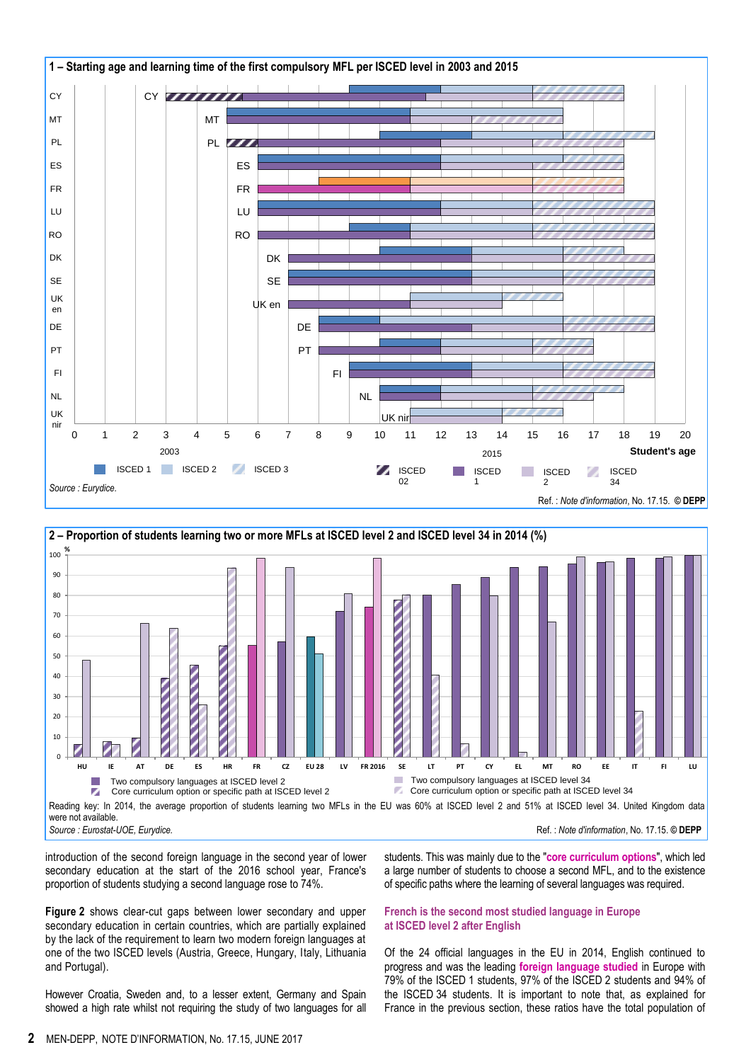



introduction of the second foreign language in the second year of lower secondary education at the start of the 2016 school year, France's proportion of students studying a second language rose to 74%.

**Figure 2** shows clear-cut gaps between lower secondary and upper secondary education in certain countries, which are partially explained by the lack of the requirement to learn two modern foreign languages at one of the two ISCED levels (Austria, Greece, Hungary, Italy, Lithuania and Portugal).

However Croatia, Sweden and, to a lesser extent, Germany and Spain showed a high rate whilst not requiring the study of two languages for all students. This was mainly due to the "**core curriculum options**", which led a large number of students to choose a second MFL, and to the existence of specific paths where the learning of several languages was required.

# **French is the second most studied language in Europe at ISCED level 2 after English**

Of the 24 official languages in the EU in 2014, English continued to progress and was the leading **foreign language studied** in Europe with 79% of the ISCED 1 students, 97% of the ISCED 2 students and 94% of the ISCED 34 students. It is important to note that, as explained for France in the previous section, these ratios have the total population of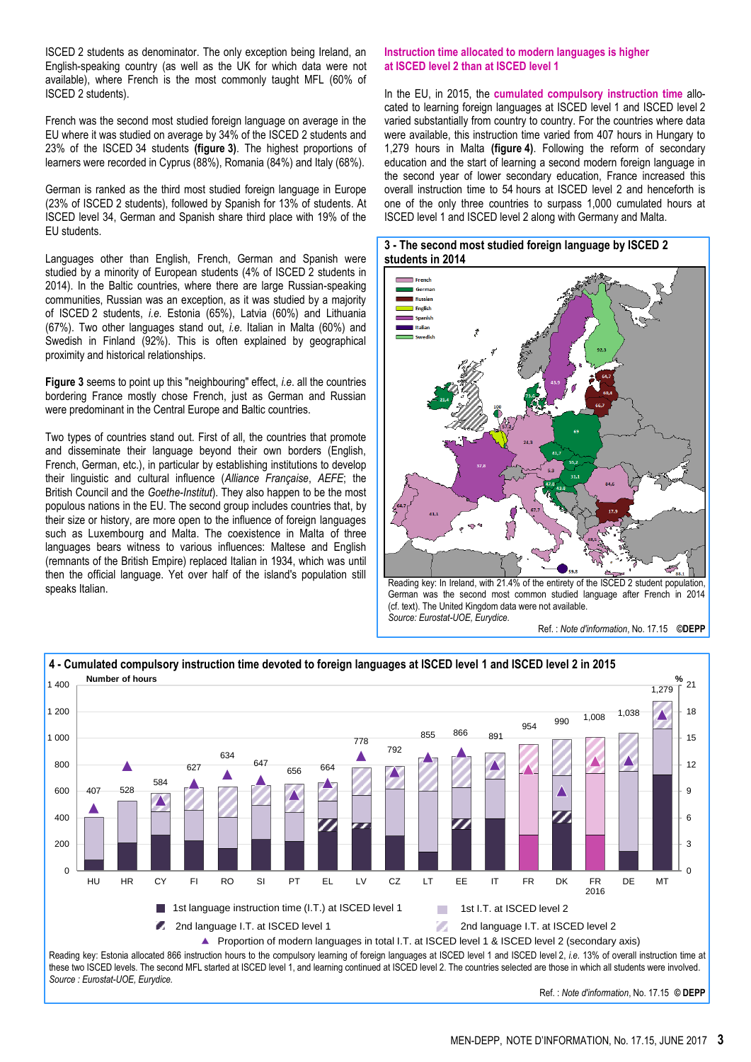ISCED 2 students as denominator. The only exception being Ireland, an English-speaking country (as well as the UK for which data were not available), where French is the most commonly taught MFL (60% of ISCED 2 students).

French was the second most studied foreign language on average in the EU where it was studied on average by 34% of the ISCED 2 students and 23% of the ISCED 34 students **(figure 3)**. The highest proportions of learners were recorded in Cyprus (88%), Romania (84%) and Italy (68%).

German is ranked as the third most studied foreign language in Europe (23% of ISCED 2 students), followed by Spanish for 13% of students. At ISCED level 34, German and Spanish share third place with 19% of the EU students.

Languages other than English, French, German and Spanish were studied by a minority of European students (4% of ISCED 2 students in 2014). In the Baltic countries, where there are large Russian-speaking communities, Russian was an exception, as it was studied by a majority of ISCED 2 students, *i.e*. Estonia (65%), Latvia (60%) and Lithuania (67%). Two other languages stand out, *i.e*. Italian in Malta (60%) and Swedish in Finland (92%). This is often explained by geographical proximity and historical relationships.

**Figure 3** seems to point up this "neighbouring" effect, *i.e*. all the countries bordering France mostly chose French, just as German and Russian were predominant in the Central Europe and Baltic countries.

Two types of countries stand out. First of all, the countries that promote and disseminate their language beyond their own borders (English, French, German, etc.), in particular by establishing institutions to develop their linguistic and cultural influence (*Alliance Française*, *AEFE*; the British Council and the *Goethe-Institut*). They also happen to be the most populous nations in the EU. The second group includes countries that, by their size or history, are more open to the influence of foreign languages such as Luxembourg and Malta. The coexistence in Malta of three languages bears witness to various influences: Maltese and English (remnants of the British Empire) replaced Italian in 1934, which was until then the official language. Yet over half of the island's population still speaks Italian.

### **Instruction time allocated to modern languages is higher at ISCED level 2 than at ISCED level 1**

In the EU, in 2015, the **cumulated compulsory instruction time** allocated to learning foreign languages at ISCED level 1 and ISCED level 2 varied substantially from country to country. For the countries where data were available, this instruction time varied from 407 hours in Hungary to 1,279 hours in Malta **(figure 4)**. Following the reform of secondary education and the start of learning a second modern foreign language in the second year of lower secondary education, France increased this overall instruction time to 54 hours at ISCED level 2 and henceforth is one of the only three countries to surpass 1,000 cumulated hours at ISCED level 1 and ISCED level 2 along with Germany and Malta.

# **3 - The second most studied foreign language by ISCED 2 students in 2014**



Reading key: In Ireland, with 21.4% of the entirety of the ISCED 2 student population, German was the second most common studied language after French in 2014 (cf. text). The United Kingdom data were not available. *Source: Eurostat-UOE, Eurydice.*

Ref. : *Note d'information*, No. 17.15 **©DEPP**



these two ISCED levels. The second MFL started at ISCED level 1, and learning continued at ISCED level 2. The countries selected are those in which all students were involved. *Source : Eurostat-UOE, Eurydice.*

Ref. : *Note d'information*, No. 17.15 **© DEPP**